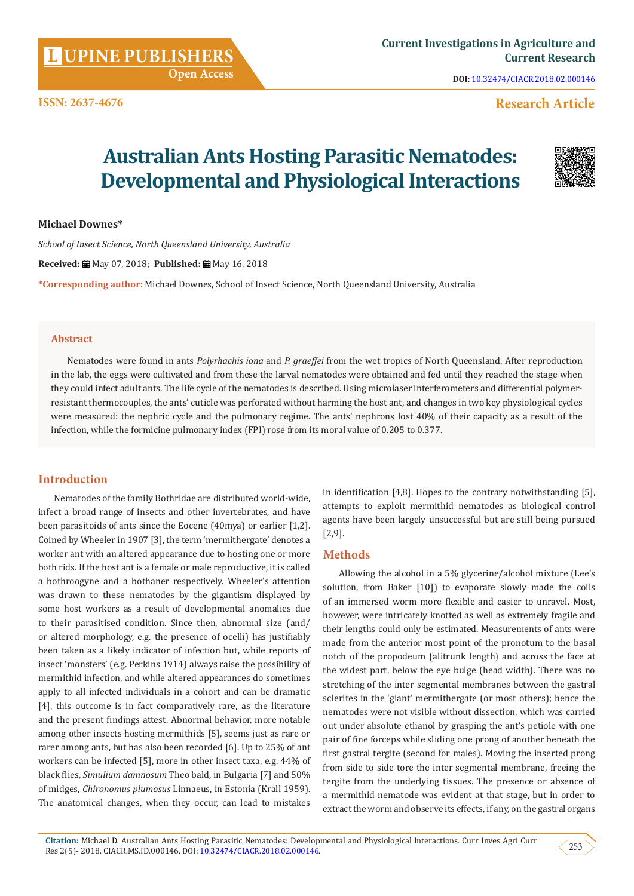**Open Access**

**DOI:** [10.32474/CIACR.2018.02.000146](http://dx.doi.org/10.32474/CIACR.2018.02.000146)

## **Research Article**

# **Australian Ants Hosting Parasitic Nematodes: Developmental and Physiological Interactions**



#### **Michael Downes\***

*School of Insect Science, North Queensland University, Australia* 

**Received:** May 07, 2018; **Published:** May 16, 2018

**\*Corresponding author:** Michael Downes, School of Insect Science, North Queensland University, Australia

#### **Abstract**

Nematodes were found in ants *Polyrhachis iona* and *P. graeffei* from the wet tropics of North Queensland. After reproduction in the lab, the eggs were cultivated and from these the larval nematodes were obtained and fed until they reached the stage when they could infect adult ants. The life cycle of the nematodes is described. Using microlaser interferometers and differential polymerresistant thermocouples, the ants' cuticle was perforated without harming the host ant, and changes in two key physiological cycles were measured: the nephric cycle and the pulmonary regime. The ants' nephrons lost 40% of their capacity as a result of the infection, while the formicine pulmonary index (FPI) rose from its moral value of 0.205 to 0.377.

## **Introduction**

Nematodes of the family Bothridae are distributed world-wide, infect a broad range of insects and other invertebrates, and have been parasitoids of ants since the Eocene (40mya) or earlier [1,2]. Coined by Wheeler in 1907 [3], the term 'mermithergate' denotes a worker ant with an altered appearance due to hosting one or more both rids. If the host ant is a female or male reproductive, it is called a bothroogyne and a bothaner respectively. Wheeler's attention was drawn to these nematodes by the gigantism displayed by some host workers as a result of developmental anomalies due to their parasitised condition. Since then, abnormal size (and/ or altered morphology, e.g. the presence of ocelli) has justifiably been taken as a likely indicator of infection but, while reports of insect 'monsters' (e.g. Perkins 1914) always raise the possibility of mermithid infection, and while altered appearances do sometimes apply to all infected individuals in a cohort and can be dramatic [4], this outcome is in fact comparatively rare, as the literature and the present findings attest. Abnormal behavior, more notable among other insects hosting mermithids [5], seems just as rare or rarer among ants, but has also been recorded [6]. Up to 25% of ant workers can be infected [5], more in other insect taxa, e.g. 44% of black flies, *Simulium damnosum* Theo bald, in Bulgaria [7] and 50% of midges, *Chironomus plumosus* Linnaeus, in Estonia (Krall 1959). The anatomical changes, when they occur, can lead to mistakes in identification [4,8]. Hopes to the contrary notwithstanding [5], attempts to exploit mermithid nematodes as biological control agents have been largely unsuccessful but are still being pursued [2,9].

## **Methods**

Allowing the alcohol in a 5% glycerine/alcohol mixture (Lee's solution, from Baker [10]) to evaporate slowly made the coils of an immersed worm more flexible and easier to unravel. Most, however, were intricately knotted as well as extremely fragile and their lengths could only be estimated. Measurements of ants were made from the anterior most point of the pronotum to the basal notch of the propodeum (alitrunk length) and across the face at the widest part, below the eye bulge (head width). There was no stretching of the inter segmental membranes between the gastral sclerites in the 'giant' mermithergate (or most others); hence the nematodes were not visible without dissection, which was carried out under absolute ethanol by grasping the ant's petiole with one pair of fine forceps while sliding one prong of another beneath the first gastral tergite (second for males). Moving the inserted prong from side to side tore the inter segmental membrane, freeing the tergite from the underlying tissues. The presence or absence of a mermithid nematode was evident at that stage, but in order to extract the worm and observe its effects, if any, on the gastral organs

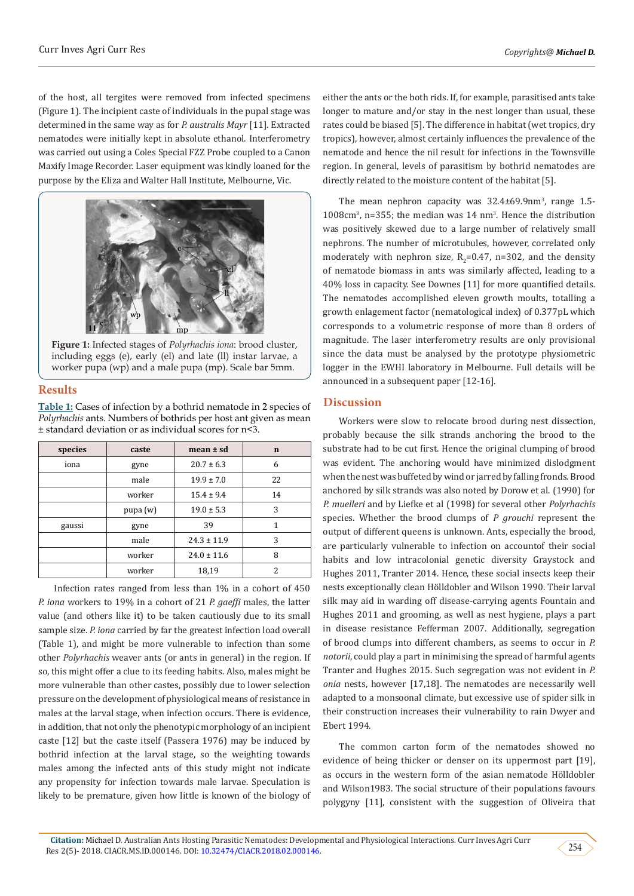of the host, all tergites were removed from infected specimens (Figure 1). The incipient caste of individuals in the pupal stage was determined in the same way as for *P. australis Mayr* [11]. Extracted nematodes were initially kept in absolute ethanol. Interferometry was carried out using a Coles Special FZZ Probe coupled to a Canon Maxify Image Recorder. Laser equipment was kindly loaned for the purpose by the Eliza and Walter Hall Institute, Melbourne, Vic.



**Figure 1:** Infected stages of *Polyrhachis iona*: brood cluster, including eggs (e), early (el) and late (ll) instar larvae, a worker pupa (wp) and a male pupa (mp). Scale bar 5mm.

## **Results**

**Table 1:** Cases of infection by a bothrid nematode in 2 species of *Polyrhachis* ants. Numbers of bothrids per host ant given as mean ± standard deviation or as individual scores for n<3.

| species | caste      | $mean \pm sd$   | $\mathbf n$ |
|---------|------------|-----------------|-------------|
| iona    | gyne       | $20.7 \pm 6.3$  | 6           |
|         | male       | $19.9 \pm 7.0$  | 22          |
|         | worker     | $15.4 \pm 9.4$  | 14          |
|         | pupa $(w)$ | $19.0 \pm 5.3$  | 3           |
| gaussi  | gyne       | 39              | 1           |
|         | male       | $24.3 \pm 11.9$ | 3           |
|         | worker     | $24.0 \pm 11.6$ | 8           |
|         | worker     | 18,19           |             |

Infection rates ranged from less than 1% in a cohort of 450 *P. iona* workers to 19% in a cohort of 21 *P. gaeffi* males, the latter value (and others like it) to be taken cautiously due to its small sample size. *P. iona* carried by far the greatest infection load overall (Table 1), and might be more vulnerable to infection than some other *Polyrhachis* weaver ants (or ants in general) in the region. If so, this might offer a clue to its feeding habits. Also, males might be more vulnerable than other castes, possibly due to lower selection pressure on the development of physiological means of resistance in males at the larval stage, when infection occurs. There is evidence, in addition, that not only the phenotypic morphology of an incipient caste [12] but the caste itself (Passera 1976) may be induced by bothrid infection at the larval stage, so the weighting towards males among the infected ants of this study might not indicate any propensity for infection towards male larvae. Speculation is likely to be premature, given how little is known of the biology of

either the ants or the both rids. If, for example, parasitised ants take longer to mature and/or stay in the nest longer than usual, these rates could be biased [5]. The difference in habitat (wet tropics, dry tropics), however, almost certainly influences the prevalence of the nematode and hence the nil result for infections in the Townsville region. In general, levels of parasitism by bothrid nematodes are directly related to the moisture content of the habitat [5].

The mean nephron capacity was  $32.4 \pm 69.9$ nm<sup>3</sup>, range 1.5- $1008 \text{cm}^3$ , n=355; the median was 14 nm<sup>3</sup>. Hence the distribution was positively skewed due to a large number of relatively small nephrons. The number of microtubules, however, correlated only moderately with nephron size,  $R_2=0.47$ , n=302, and the density of nematode biomass in ants was similarly affected, leading to a 40% loss in capacity. See Downes [11] for more quantified details. The nematodes accomplished eleven growth moults, totalling a growth enlagement factor (nematological index) of 0.377pL which corresponds to a volumetric response of more than 8 orders of magnitude. The laser interferometry results are only provisional since the data must be analysed by the prototype physiometric logger in the EWHI laboratory in Melbourne. Full details will be announced in a subsequent paper [12-16].

## **Discussion**

Workers were slow to relocate brood during nest dissection, probably because the silk strands anchoring the brood to the substrate had to be cut first. Hence the original clumping of brood was evident. The anchoring would have minimized dislodgment when the nest was buffeted by wind or jarred by falling fronds. Brood anchored by silk strands was also noted by Dorow et al. (1990) for *P. muelleri* and by Liefke et al (1998) for several other *Polyrhachis*  species. Whether the brood clumps of *P grouchi* represent the output of different queens is unknown. Ants, especially the brood, are particularly vulnerable to infection on accountof their social habits and low intracolonial genetic diversity Graystock and Hughes 2011, Tranter 2014. Hence, these social insects keep their nests exceptionally clean Hölldobler and Wilson 1990. Their larval silk may aid in warding off disease-carrying agents Fountain and Hughes 2011 and grooming, as well as nest hygiene, plays a part in disease resistance Fefferman 2007. Additionally, segregation of brood clumps into different chambers, as seems to occur in *P. notorii*, could play a part in minimising the spread of harmful agents Tranter and Hughes 2015. Such segregation was not evident in *P. onia* nests, however [17,18]. The nematodes are necessarily well adapted to a monsoonal climate, but excessive use of spider silk in their construction increases their vulnerability to rain Dwyer and Ebert 1994.

The common carton form of the nematodes showed no evidence of being thicker or denser on its uppermost part [19], as occurs in the western form of the asian nematode Hölldobler and Wilson1983. The social structure of their populations favours polygyny [11], consistent with the suggestion of Oliveira that

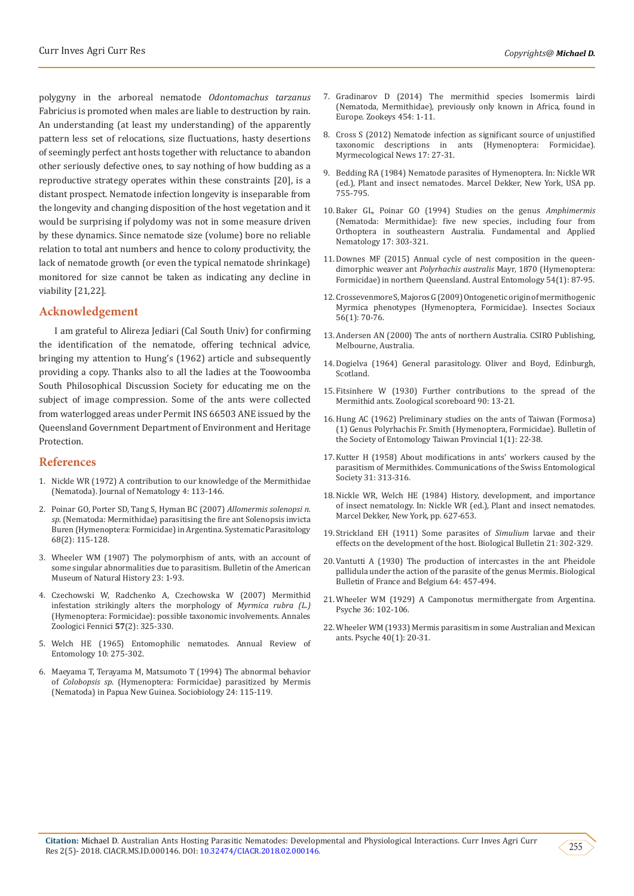polygyny in the arboreal nematode *Odontomachus tarzanus*  Fabricius is promoted when males are liable to destruction by rain. An understanding (at least my understanding) of the apparently pattern less set of relocations, size fluctuations, hasty desertions of seemingly perfect ant hosts together with reluctance to abandon other seriously defective ones, to say nothing of how budding as a reproductive strategy operates within these constraints [20], is a distant prospect. Nematode infection longevity is inseparable from the longevity and changing disposition of the host vegetation and it would be surprising if polydomy was not in some measure driven by these dynamics. Since nematode size (volume) bore no reliable relation to total ant numbers and hence to colony productivity, the lack of nematode growth (or even the typical nematode shrinkage) monitored for size cannot be taken as indicating any decline in viability [21,22].

#### **Acknowledgement**

I am grateful to Alireza Jediari (Cal South Univ) for confirming the identification of the nematode, offering technical advice, bringing my attention to Hung's (1962) article and subsequently providing a copy. Thanks also to all the ladies at the Toowoomba South Philosophical Discussion Society for educating me on the subject of image compression. Some of the ants were collected from waterlogged areas under Permit INS 66503 ANE issued by the Queensland Government Department of Environment and Heritage Protection.

#### **References**

- 1. Nickle WR (1972) A contribution to our knowledge of the Mermithidae (Nematoda). Journal of Nematology 4: 113-146.
- 2. [Poinar GO, Porter SD, Tang S, Hyman BC \(2007\)](https://www.researchgate.net/publication/5931614_Allomermis_solenopsi_n_sp_Nematoda_Mermithidae_parasitising_the_fire_ant_Solenopsis_invicta_Buren_Hymenoptera_Formicidae_in_Argentina) *Allomermis solenopsi n. sp*[. \(Nematoda: Mermithidae\) parasitising the fire ant Solenopsis invicta](https://www.researchgate.net/publication/5931614_Allomermis_solenopsi_n_sp_Nematoda_Mermithidae_parasitising_the_fire_ant_Solenopsis_invicta_Buren_Hymenoptera_Formicidae_in_Argentina) [Buren \(Hymenoptera: Formicidae\) in Argentina. Systematic Parasitology](https://www.researchgate.net/publication/5931614_Allomermis_solenopsi_n_sp_Nematoda_Mermithidae_parasitising_the_fire_ant_Solenopsis_invicta_Buren_Hymenoptera_Formicidae_in_Argentina)  [68\(2\): 115-128.](https://www.researchgate.net/publication/5931614_Allomermis_solenopsi_n_sp_Nematoda_Mermithidae_parasitising_the_fire_ant_Solenopsis_invicta_Buren_Hymenoptera_Formicidae_in_Argentina)
- 3. [Wheeler WM \(1907\) The polymorphism of ants, with an account of](http://digitallibrary.amnh.org/handle/2246/1904)  [some singular abnormalities due to parasitism. Bulletin of the American](http://digitallibrary.amnh.org/handle/2246/1904)  [Museum of Natural History](http://digitallibrary.amnh.org/handle/2246/1904) 23: 1-93.
- 4. [Czechowski W, Radchenko A, Czechowska W \(2007\) Mermithid](https://www.researchgate.net/publication/233611254_Mermithid_infestation_strikingly_alters_the_morphology_of_Myrmica_rubra_L_Hymenoptera_Formicidae_Possible_taxonomical_involvements)  [infestation strikingly alters the morphology of](https://www.researchgate.net/publication/233611254_Mermithid_infestation_strikingly_alters_the_morphology_of_Myrmica_rubra_L_Hymenoptera_Formicidae_Possible_taxonomical_involvements) *Myrmica rubra (L.)* [\(Hymenoptera: Formicidae\): possible taxonomic involvements. Annales](https://www.researchgate.net/publication/233611254_Mermithid_infestation_strikingly_alters_the_morphology_of_Myrmica_rubra_L_Hymenoptera_Formicidae_Possible_taxonomical_involvements)  [Zoologici Fennici](https://www.researchgate.net/publication/233611254_Mermithid_infestation_strikingly_alters_the_morphology_of_Myrmica_rubra_L_Hymenoptera_Formicidae_Possible_taxonomical_involvements) **57**(2): 325-330.
- 5. [Welch HE \(1965\) Entomophilic nematodes. Annual Review of](https://www.annualreviews.org/doi/abs/10.1146/annurev.en.10.010165.001423?journalCode=ento)  Entomology [10: 275-302.](https://www.annualreviews.org/doi/abs/10.1146/annurev.en.10.010165.001423?journalCode=ento)
- 6. [Maeyama T, Terayama M, Matsumoto T \(1994\) The abnormal behavior](http://agris.fao.org/agris-search/search.do?recordID=US9517333)  of *Colobopsis sp*[. \(Hymenoptera: Formicidae\) parasitized by Mermis](http://agris.fao.org/agris-search/search.do?recordID=US9517333) [\(Nematoda\) in Papua New Guinea. Sociobiology](http://agris.fao.org/agris-search/search.do?recordID=US9517333) 24: 115-119.
- 7. [Gradinarov D \(2014\) The mermithid species Isomermis lairdi](https://www.semanticscholar.org/paper/The-mermithid-species-Isomermis-lairdi-(Nematoda%2C-Gradinarov/6b833325134403171dcf21fe88856def1188a317) [\(Nematoda, Mermithidae\), previously only known in Africa, found in](https://www.semanticscholar.org/paper/The-mermithid-species-Isomermis-lairdi-(Nematoda%2C-Gradinarov/6b833325134403171dcf21fe88856def1188a317) [Europe. Zookeys](https://www.semanticscholar.org/paper/The-mermithid-species-Isomermis-lairdi-(Nematoda%2C-Gradinarov/6b833325134403171dcf21fe88856def1188a317) 454: 1-11.
- 8. [Cross S \(2012\) Nematode infection as significant source of unjustified](https://www.researchgate.net/publication/256121629_Nematode_infection_as_significant_source_of_unjustified_taxonomic_descriptions_in_ants_Hymenoptera_Formicidae) [taxonomic descriptions in ants \(Hymenoptera: Formicidae\).](https://www.researchgate.net/publication/256121629_Nematode_infection_as_significant_source_of_unjustified_taxonomic_descriptions_in_ants_Hymenoptera_Formicidae) [Myrmecological News 17: 27-31.](https://www.researchgate.net/publication/256121629_Nematode_infection_as_significant_source_of_unjustified_taxonomic_descriptions_in_ants_Hymenoptera_Formicidae)
- 9. Bedding RA (1984) Nematode parasites of Hymenoptera. In: Nickle WR (ed.), Plant and insect nematodes. Marcel Dekker, New York, USA pp. 755-795.
- 10. [Baker GL, Poinar GO \(1994\) Studies on the genus](http://horizon.documentation.ird.fr/exl-doc/pleins_textes/fan/40000.pdf) *Amphimermis*  [\(Nematoda: Mermithidae\): five new species, including four from](http://horizon.documentation.ird.fr/exl-doc/pleins_textes/fan/40000.pdf) [Orthoptera in southeastern Australia. Fundamental and Applied](http://horizon.documentation.ird.fr/exl-doc/pleins_textes/fan/40000.pdf) Nematology [17: 303-321.](http://horizon.documentation.ird.fr/exl-doc/pleins_textes/fan/40000.pdf)
- 11. [Downes MF \(2015\) Annual cycle of nest composition in the queen](https://onlinelibrary.wiley.com/doi/abs/10.1111/aen.12096)dimorphic weaver ant *Polyrhachis australis* [Mayr, 1870 \(Hymenoptera:](https://onlinelibrary.wiley.com/doi/abs/10.1111/aen.12096) [Formicidae\) in northern Queensland. Austral Entomology](https://onlinelibrary.wiley.com/doi/abs/10.1111/aen.12096) 54(1): 87-95.
- 12. [Crossevenmore S, Majoros G \(2009\) Ontogenetic origin of mermithogenic](https://link.springer.com/article/10.1007/s00040-008-1040-3) Myrmica [phenotypes \(Hymenoptera, Formicidae\). Insectes Sociaux](https://link.springer.com/article/10.1007/s00040-008-1040-3) [56\(1\): 70-76.](https://link.springer.com/article/10.1007/s00040-008-1040-3)
- 13. Andersen AN (2000) The ants of northern Australia. CSIRO Publishing, Melbourne, Australia.
- 14. Dogielva (1964) General parasitology. Oliver and Boyd, Edinburgh, Scotland.
- 15. Fitsinhere W (1930) Further contributions to the spread of the Mermithid ants. Zoological scoreboard 90: 13-21.
- 16. [Hung AC \(1962\) Preliminary studies on the ants of Taiwan \(Formosa\)](https://www.cabdirect.org/cabdirect/abstract/19660800219) (1) Genus Polyrhachis [Fr. Smith \(Hymenoptera, Formicidae\). Bulletin of](https://www.cabdirect.org/cabdirect/abstract/19660800219) [the Society of Entomology Taiwan Provincial 1\(1\): 22-38.](https://www.cabdirect.org/cabdirect/abstract/19660800219)
- 17. Kutter H (1958) About modifications in ants' workers caused by the parasitism of Mermithides. Communications of the Swiss Entomological Society 31: 313-316.
- 18. Nickle WR, Welch HE (1984) History, development, and importance of insect nematology. In: Nickle WR (ed.), Plant and insect nematodes. Marcel Dekker, New York, pp. 627-653.
- 19. Strickland EH (1911) Some parasites of *Simulium* larvae and their effects on the development of the host. Biological Bulletin 21: 302-329.
- 20. Vantutti A (1930) The production of intercastes in the ant Pheidole pallidula under the action of the parasite of the genus Mermis. Biological Bulletin of France and Belgium 64: 457-494.
- 21. Wheeler WM (1929) A Camponotus mermithergate from Argentina*.*  Psyche 36: 102-106.
- 22. Wheeler WM (1933) Mermis [parasitism in some Australian and Mexican](https://www.hindawi.com/journals/psyche/1933/036308/abs/) [ants. Psyche 40\(1\): 20-31.](https://www.hindawi.com/journals/psyche/1933/036308/abs/)